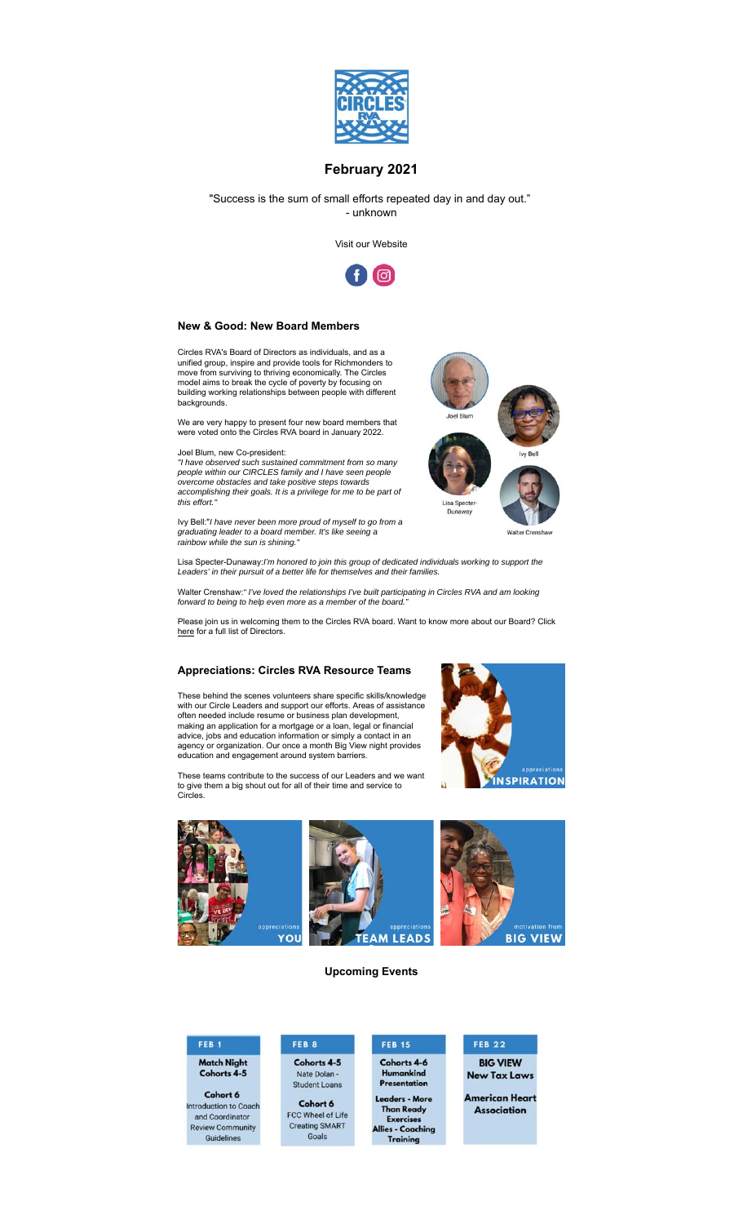

## **February 2021**

"Success is the sum of small efforts repeated day in and day out." - unknown

Visit our Website



#### **New & Good: New Board Members**

Circles RVA's Board of Directors as individuals, and as a unified group, inspire and provide tools for Richmonders to move from surviving to thriving economically. The Circles model aims to break the cycle of poverty by focusing on building working relationships between people with different backgrounds.

We are very happy to present four new board members that were voted onto the Circles RVA board in January 2022.

Joel Blum, new Co-president:

*"I have observed such sustained commitment from so many people within our CIRCLES family and I have seen people overcome obstacles and take positive steps towards accomplishing their goals. It is a privilege for me to be part of this effort."*

Ivy Bell:"*I have never been more proud of myself to go from a graduating leader to a board member. It's like seeing a rainbow while the sun is shining."*



Lisa Specter-Dunaway:*I'm honored to join this group of dedicated individuals working to support the Leaders' in their pursuit of a better life for themselves and their families.*

Walter Crenshaw:*" I've loved the relationships I've built participating in Circles RVA and am looking* forward to being to help even more as a member of the board.

Please join us in welcoming them to the Circles RVA board. Want to know more about our Board? Click here for a full list of Directors.

# **Appreciations: Circles RVA Resource Teams**

These behind the scenes volunteers share specific skills/knowledge with our Circle Leaders and support our efforts. Areas of assistance often needed include resume or business plan development, making an application for a mortgage or a loan, legal or financial advice, jobs and education information or simply a contact in an agency or organization. Our once a month Big View night provides education and engagement around system barriers.

These teams contribute to the success of our Leaders and we want to give them a big shout out for all of their time and service to Circles.





**Upcoming Events**

## FEB<sub>1</sub> **Match Night**

Cohorts 4-5

Cohort 6 ntroduction to Coach and Coordinator **Review Community** Guidelines

FEB 8 Cohorts 4-5 Nate Dolan **Student Loans** 

Cohort 6 FCC Wheel of Life Creating SMART Goals

#### **FEB 15** Cohorts 4-6 Humankind

Presentation Leaders - More **Than Ready** Exercises<br>es - Coaching<br>Training **Alli** 

## **FEB 22 BIG VIEW New Tax Laws**

American Heart **Association**